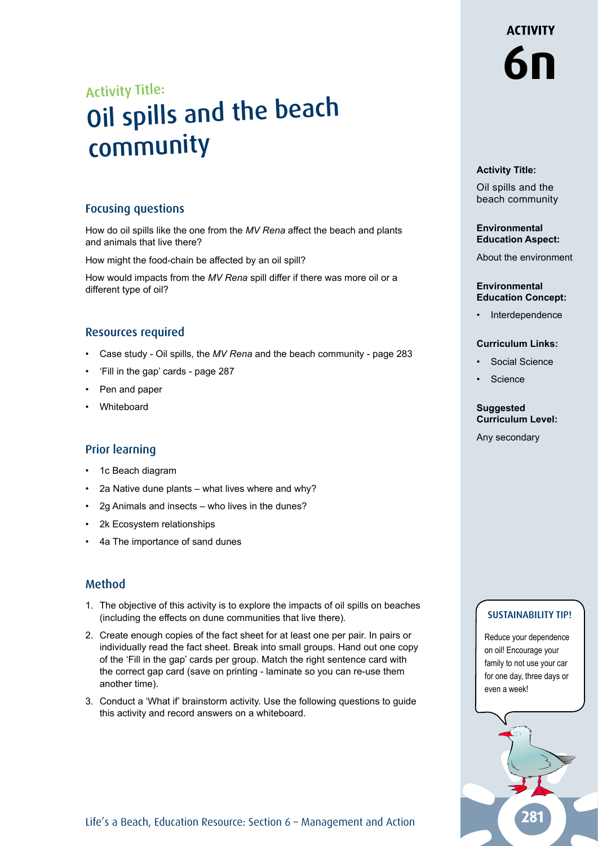#### Activity Title: Oil spills and the beach community

#### Focusing questions

How do oil spills like the one from the *MV Rena* affect the beach and plants and animals that live there?

How might the food-chain be affected by an oil spill?

How would impacts from the *MV Rena* spill differ if there was more oil or a different type of oil?

#### Resources required

- Case study Oil spills, the *MV Rena* and the beach community page 283
- 'Fill in the gap' cards page 287
- Pen and paper
- **Whiteboard**

#### Prior learning

- 1c Beach diagram
- 2a Native dune plants what lives where and why?
- 2g Animals and insects who lives in the dunes?
- 2k Ecosystem relationships
- 4a The importance of sand dunes

#### Method

- 1. The objective of this activity is to explore the impacts of oil spills on beaches (including the effects on dune communities that live there).
- 2. Create enough copies of the fact sheet for at least one per pair. In pairs or individually read the fact sheet. Break into small groups. Hand out one copy of the 'Fill in the gap' cards per group. Match the right sentence card with the correct gap card (save on printing - laminate so you can re-use them another time).
- 3. Conduct a 'What if' brainstorm activity. Use the following questions to guide this activity and record answers on a whiteboard.

#### **Activity Title:**

Oil spills and the beach community

#### **Environmental Education Aspect:**

About the environment

#### **Environmental Education Concept:**

**Interdependence** 

#### **Curriculum Links:**

- Social Science
- **Science**

#### **Suggested Curriculum Level:**

Any secondary

#### SUSTAINABILITY TIP!

Reduce your dependence on oil! Encourage your family to not use your car for one day, three days or even a week!

# **6n**

**ACTIVITY** 

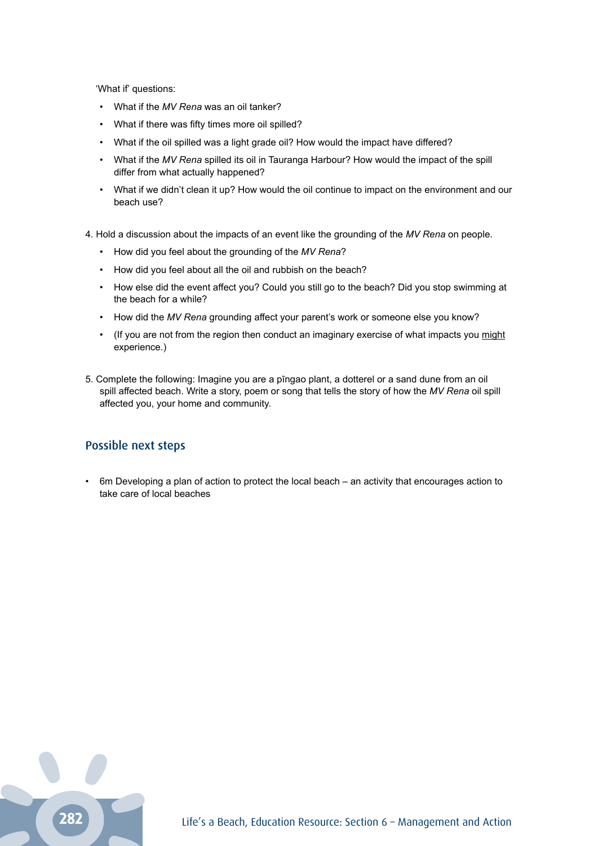'What if' questions:

- What if the *MV Rena* was an oil tanker?
- What if there was fifty times more oil spilled?
- What if the oil spilled was a light grade oil? How would the impact have differed?
- What if the *MV Rena* spilled its oil in Tauranga Harbour? How would the impact of the spill differ from what actually happened?
- What if we didn't clean it up? How would the oil continue to impact on the environment and our beach use?
- 4. Hold a discussion about the impacts of an event like the grounding of the *MV Rena* on people.
	- How did you feel about the grounding of the *MV Rena*?
	- How did you feel about all the oil and rubbish on the beach?
	- How else did the event affect you? Could you still go to the beach? Did you stop swimming at the beach for a while?
	- How did the *MV Rena* grounding affect your parent's work or someone else you know?
	- (If you are not from the region then conduct an imaginary exercise of what impacts you might experience.)
- 5. Complete the following: Imagine you are a pīngao plant, a dotterel or a sand dune from an oil spill affected beach. Write a story, poem or song that tells the story of how the *MV Rena* oil spill affected you, your home and community.

#### Possible next steps

• 6m Developing a plan of action to protect the local beach – an activity that encourages action to take care of local beaches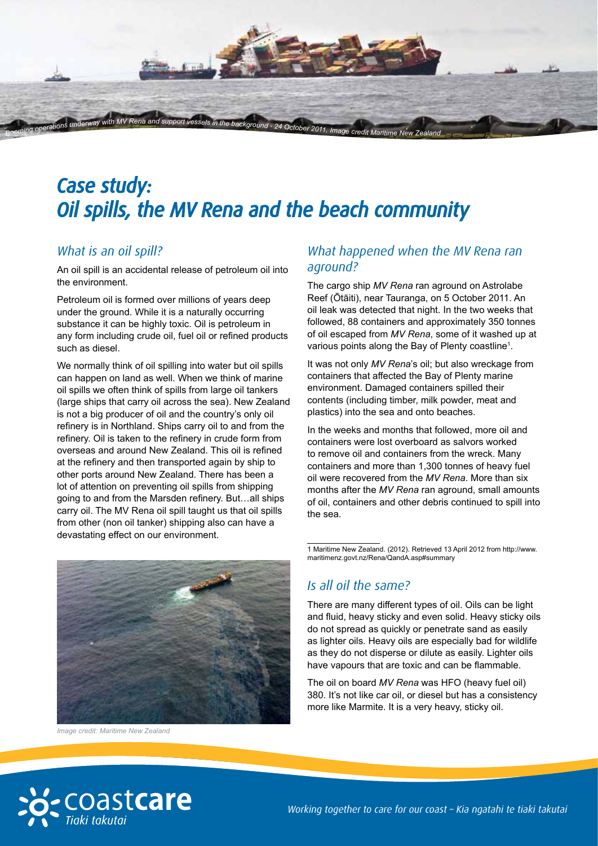

#### *Case study: Oil spills, the MV Rena and the beach community*

#### *What is an oil spill?*

An oil spill is an accidental release of petroleum oil into the environment.

Petroleum oil is formed over millions of years deep under the ground. While it is a naturally occurring substance it can be highly toxic. Oil is petroleum in any form including crude oil, fuel oil or refined products such as diesel.

We normally think of oil spilling into water but oil spills can happen on land as well. When we think of marine oil spills we often think of spills from large oil tankers (large ships that carry oil across the sea). New Zealand is not a big producer of oil and the country's only oil refinery is in Northland. Ships carry oil to and from the refinery. Oil is taken to the refinery in crude form from overseas and around New Zealand. This oil is refined at the refinery and then transported again by ship to other ports around New Zealand. There has been a lot of attention on preventing oil spills from shipping going to and from the Marsden refinery. But…all ships carry oil. The MV Rena oil spill taught us that oil spills from other (non oil tanker) shipping also can have a devastating effect on our environment.



*Image credit: Maritime New Zealand*

#### *What happened when the MV Rena ran aground?*

The cargo ship *MV Rena* ran aground on Astrolabe Reef (Ōtāiti), near Tauranga, on 5 October 2011. An oil leak was detected that night. In the two weeks that followed, 88 containers and approximately 350 tonnes of oil escaped from *MV Rena*, some of it washed up at various points along the Bay of Plenty coastline<sup>1</sup>.

It was not only *MV Rena*'s oil; but also wreckage from containers that affected the Bay of Plenty marine environment. Damaged containers spilled their contents (including timber, milk powder, meat and plastics) into the sea and onto beaches.

In the weeks and months that followed, more oil and containers were lost overboard as salvors worked to remove oil and containers from the wreck. Many containers and more than 1,300 tonnes of heavy fuel oil were recovered from the *MV Rena*. More than six months after the *MV Rena* ran aground, small amounts of oil, containers and other debris continued to spill into the sea.

1 Maritime New Zealand. (2012). Retrieved 13 April 2012 from http://www. maritimenz.govt.nz/Rena/QandA.asp#summary

#### *Is all oil the same?*

There are many different types of oil. Oils can be light and fluid, heavy sticky and even solid. Heavy sticky oils do not spread as quickly or penetrate sand as easily as lighter oils. Heavy oils are especially bad for wildlife as they do not disperse or dilute as easily. Lighter oils have vapours that are toxic and can be flammable.

The oil on board *MV Rena* was HFO (heavy fuel oil) 380. It's not like car oil, or diesel but has a consistency more like Marmite. It is a very heavy, sticky oil.

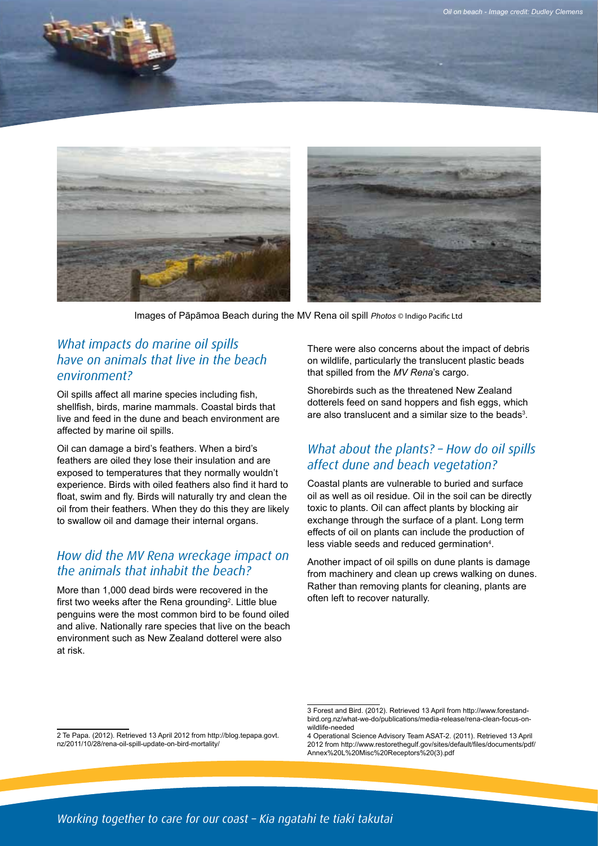

Images of Pāpāmoa Beach during the MV Rena oil spill *Photos* © Indigo Pacific Ltd

#### *What impacts do marine oil spills have on animals that live in the beach environment?*

Oil spills affect all marine species including fish, shellfish, birds, marine mammals. Coastal birds that live and feed in the dune and beach environment are affected by marine oil spills.

Oil can damage a bird's feathers. When a bird's feathers are oiled they lose their insulation and are exposed to temperatures that they normally wouldn't experience. Birds with oiled feathers also find it hard to float, swim and fly. Birds will naturally try and clean the oil from their feathers. When they do this they are likely to swallow oil and damage their internal organs.

#### *How did the MV Rena wreckage impact on the animals that inhabit the beach?*

More than 1,000 dead birds were recovered in the first two weeks after the Rena grounding<sup>2</sup>. Little blue penguins were the most common bird to be found oiled and alive. Nationally rare species that live on the beach environment such as New Zealand dotterel were also at risk.

There were also concerns about the impact of debris on wildlife, particularly the translucent plastic beads that spilled from the *MV Rena*'s cargo.

Shorebirds such as the threatened New Zealand dotterels feed on sand hoppers and fish eggs, which are also translucent and a similar size to the beads $3$ .

#### *What about the plants? – How do oil spills affect dune and beach vegetation?*

Coastal plants are vulnerable to buried and surface oil as well as oil residue. Oil in the soil can be directly toxic to plants. Oil can affect plants by blocking air exchange through the surface of a plant. Long term effects of oil on plants can include the production of less viable seeds and reduced germination<sup>4</sup>.

Another impact of oil spills on dune plants is damage from machinery and clean up crews walking on dunes. Rather than removing plants for cleaning, plants are often left to recover naturally.

<sup>2</sup> Te Papa. (2012). Retrieved 13 April 2012 from http://blog.tepapa.govt. nz/2011/10/28/rena-oil-spill-update-on-bird-mortality/

<sup>3</sup> Forest and Bird. (2012). Retrieved 13 April from http://www.forestandbird.org.nz/what-we-do/publications/media-release/rena-clean-focus-onwildlife-needed

<sup>4</sup> Operational Science Advisory Team ASAT-2. (2011). Retrieved 13 April 2012 from http://www.restorethegulf.gov/sites/default/files/documents/pdf/ Annex%20L%20Misc%20Receptors%20(3).pdf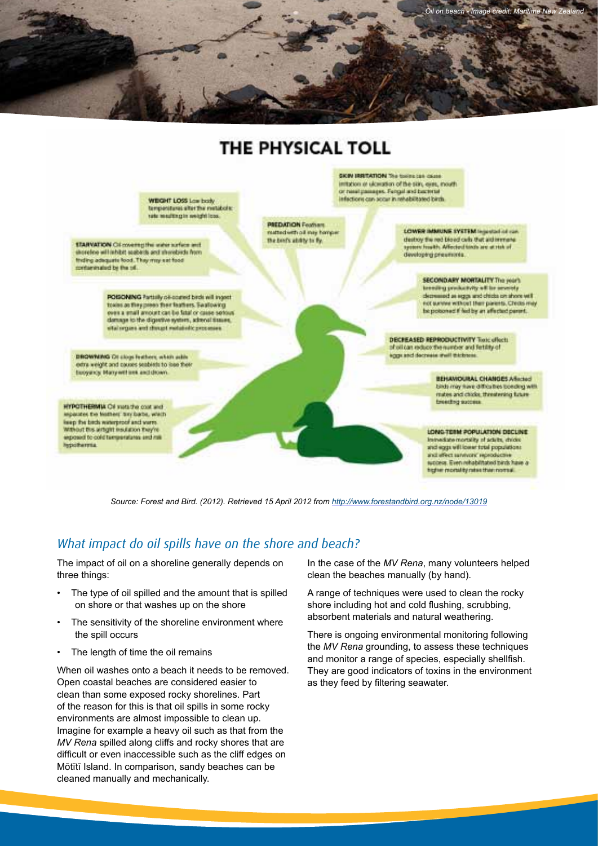

#### THE PHYSICAL TOLL

WEIGHT LOSS Law body temperatures after the metabolic sate resulting in excipti loss.

STARYATION Of coveragithe water serves shorehoo will infibit scaback and shorebirds from triding adequate food. They may set food contaminated by the of-

> POISONING Partially pli-counsel birds will inquiritoxins as they mean that fasture. Saulowing over a small amount can be fatal or cause serious damage to the digestive system, admost times, alta organized distust netabelic processes.

**BROWNING Of slops feathers, which askle** edra weight and couses seaties to has their **Europeace Manywell and and drown** 

**HYPOTHERMIA C# matche cost and** ces the hosting 'tiny barbs, which isep the back waterproof and were Without this artight insulation they're expressed to cold temperatures and ma**hypothermia** 

CANNA SECONDATIONAL Thus, Insulate Institute of Canal initiation of ulcomplain of the size, many mounts or resulpassages. Fungal and bacterial infactions can scour in rehabilitated birds

**PREDUCION Feature** restted with all may harrow the bests ability to by

LOWER IMMUNE SYSTEM in postal of car. destroy the red bload culs that ardiermana system frouth. Affected touch are at risk of developing presentate.

> **SECONDARY MORTALITY The year's** breaking productory off for severely decreased as aggs and chicks on shore will not survey without their parents, Chross may tic potoned if helding an affected percet.

DECHEASED REPRODUCTIVITY Traje affects photican reduce the number and fertility of aggs and decrease wall thickness

> **BEHAVIOURAL CHANGES ASsetsed** birds may have difficultes tongless with mates and choose threatening future bisethy societa.

LONG-TERM POPULATION DECLINE Instructions mortality of activity, children and eggs will lower total populations and affect survivory, reproductive success. Even rehabilitated pinds have a higher monality rates than normal

*Source: Forest and Bird. (2012). Retrieved 15 April 2012 from http://www.forestandbird.org.nz/node/13019*

#### *What impact do oil spills have on the shore and beach?*

The impact of oil on a shoreline generally depends on three things:

- The type of oil spilled and the amount that is spilled on shore or that washes up on the shore
- The sensitivity of the shoreline environment where the spill occurs
- The length of time the oil remains

When oil washes onto a beach it needs to be removed. Open coastal beaches are considered easier to clean than some exposed rocky shorelines. Part of the reason for this is that oil spills in some rocky environments are almost impossible to clean up. Imagine for example a heavy oil such as that from the *MV Rena* spilled along cliffs and rocky shores that are difficult or even inaccessible such as the cliff edges on Mōtītī Island. In comparison, sandy beaches can be cleaned manually and mechanically.

In the case of the *MV Rena*, many volunteers helped clean the beaches manually (by hand).

A range of techniques were used to clean the rocky shore including hot and cold flushing, scrubbing, absorbent materials and natural weathering.

There is ongoing environmental monitoring following the *MV Rena* grounding, to assess these techniques and monitor a range of species, especially shellfish. They are good indicators of toxins in the environment as they feed by filtering seawater.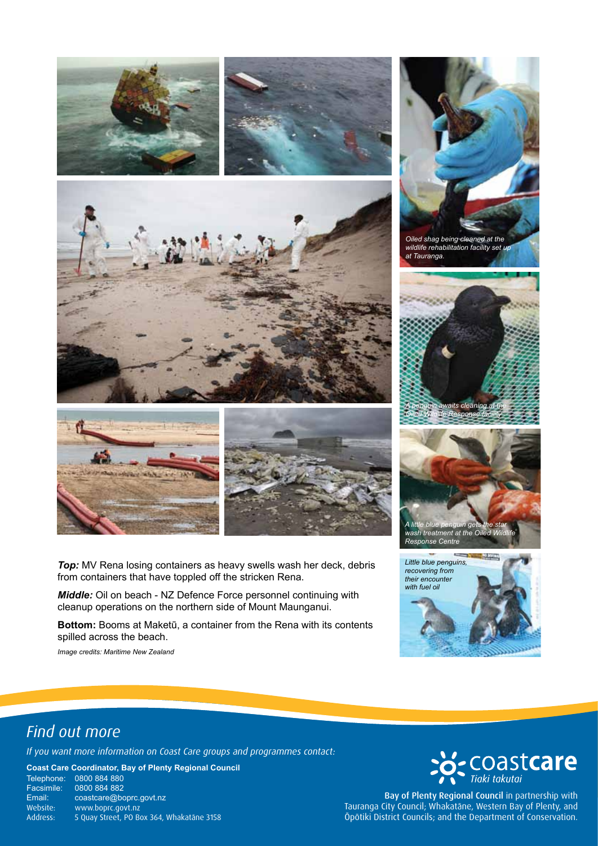







*Oiled shag being cleaned at the wildlife rehabilitation facility set up at Tauranga.*











*Top:* MV Rena losing containers as heavy swells wash her deck, debris from containers that have toppled off the stricken Rena.

*Middle:* Oil on beach - NZ Defence Force personnel continuing with cleanup operations on the northern side of Mount Maunganui.

**Bottom:** Booms at Maketū, a container from the Rena with its contents spilled across the beach.

*Image credits: Maritime New Zealand* 

#### *Find out more*

*If you want more information on Coast Care groups and programmes contact:*

**Coast Care Coordinator, Bay of Plenty Regional Council**

Telephone: 0800 884 880 Facsimile: 0800 884 882<br>Email: coastcare@bo Email: coastcare@boprc.govt.nz<br>Website: www.boprc.govt.nz Website: www.boprc.govt.nz<br>Address: 5 Quay Street, PO Bo 5 Quay Street, PO Box 364, Whakatāne 3158

### **Schare**

Bay of Plenty Regional Council in partnership with Tauranga City Council; Whakatāne, Western Bay of Plenty, and Ōpōtiki District Councils; and the Department of Conservation.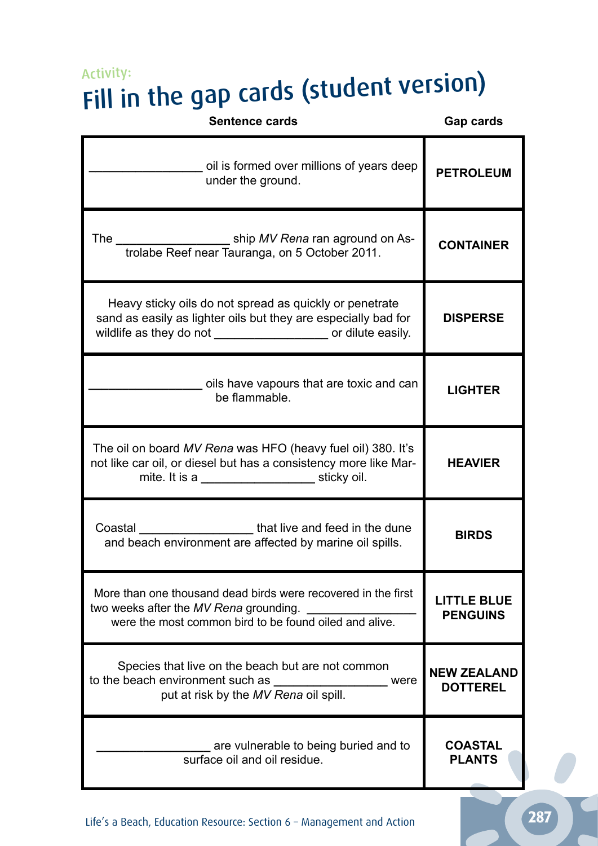## Activity:<br>Fill in the gap cards (student version)

| <b>Sentence cards</b>                                                                                                                                                                          | Gap cards                             |
|------------------------------------------------------------------------------------------------------------------------------------------------------------------------------------------------|---------------------------------------|
| oil is formed over millions of years deep<br>under the ground.                                                                                                                                 | <b>PETROLEUM</b>                      |
| trolabe Reef near Tauranga, on 5 October 2011.                                                                                                                                                 | <b>CONTAINER</b>                      |
| Heavy sticky oils do not spread as quickly or penetrate<br>sand as easily as lighter oils but they are especially bad for<br>wildlife as they do not _______________________ or dilute easily. | <b>DISPERSE</b>                       |
| oils have vapours that are toxic and can<br>be flammable.                                                                                                                                      | <b>LIGHTER</b>                        |
| The oil on board MV Rena was HFO (heavy fuel oil) 380. It's<br>not like car oil, or diesel but has a consistency more like Mar-                                                                | <b>HEAVIER</b>                        |
| Coastal ________________________that live and feed in the dune<br>and beach environment are affected by marine oil spills.                                                                     | <b>BIRDS</b>                          |
| More than one thousand dead birds were recovered in the first<br>two weeks after the MV Rena grounding.<br>were the most common bird to be found oiled and alive.                              | <b>LITTLE BLUE</b><br><b>PENGUINS</b> |
| Species that live on the beach but are not common<br>to the beach environment such as<br>were<br>put at risk by the MV Rena oil spill.                                                         | <b>NEW ZEALAND</b><br><b>DOTTEREL</b> |
| are vulnerable to being buried and to<br>surface oil and oil residue.                                                                                                                          | <b>COASTAL</b><br><b>PLANTS</b>       |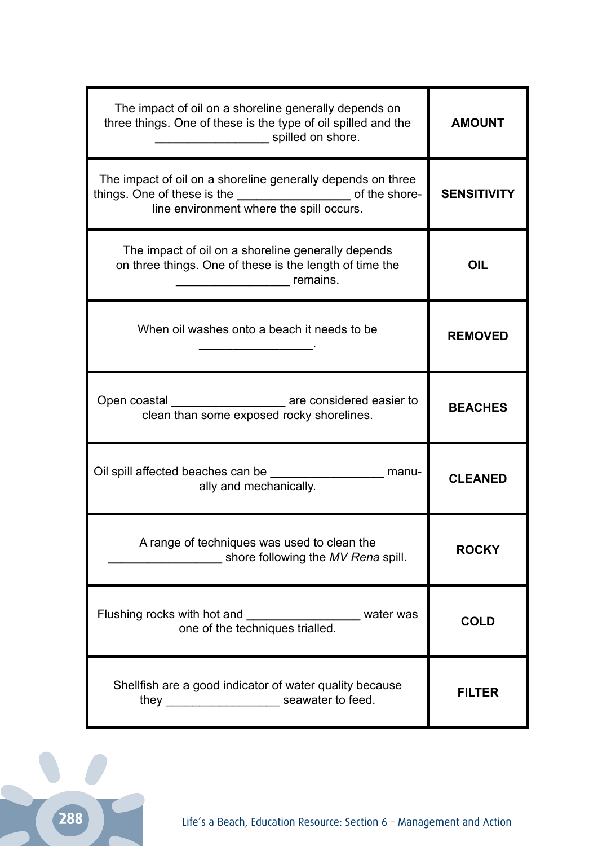| The impact of oil on a shoreline generally depends on<br>three things. One of these is the type of oil spilled and the<br>spilled on shore. | <b>AMOUNT</b>      |
|---------------------------------------------------------------------------------------------------------------------------------------------|--------------------|
| The impact of oil on a shoreline generally depends on three                                                                                 | <b>SENSITIVITY</b> |
| The impact of oil on a shoreline generally depends<br>on three things. One of these is the length of time the<br>remains.                   | OIL                |
| When oil washes onto a beach it needs to be                                                                                                 | <b>REMOVED</b>     |
| Open coastal _________________________ are considered easier to<br>clean than some exposed rocky shorelines.                                | <b>BEACHES</b>     |
| ally and mechanically.                                                                                                                      | <b>CLEANED</b>     |
| A range of techniques was used to clean the<br>shore following the MV Rena spill.                                                           | <b>ROCKY</b>       |
| Flushing rocks with hot and ____________________ water was<br>one of the techniques trialled.                                               | <b>COLD</b>        |
| Shellfish are a good indicator of water quality because                                                                                     | <b>FILTER</b>      |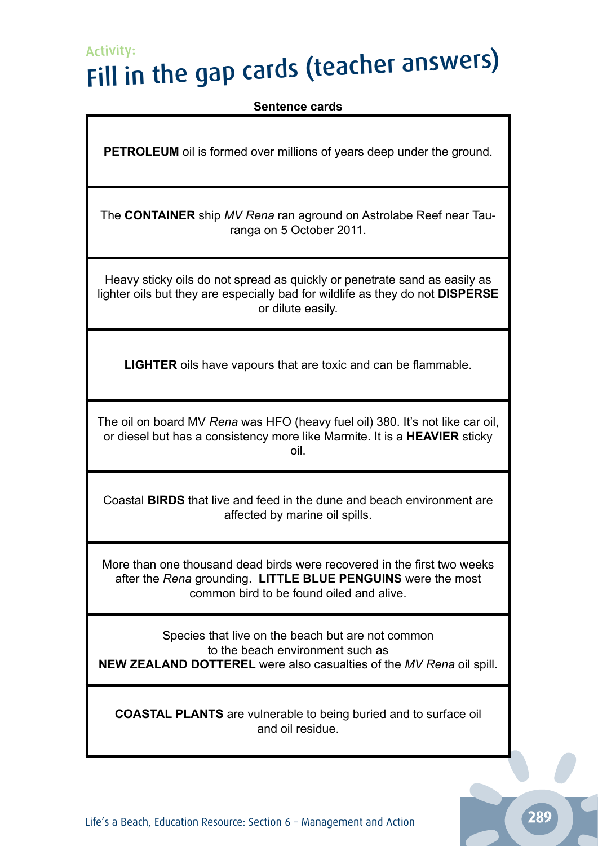### Activity:<br>Fill in the gap cards (teacher answers)

| <b>Sentence cards</b>                                                                                                                                                               |  |
|-------------------------------------------------------------------------------------------------------------------------------------------------------------------------------------|--|
| <b>PETROLEUM</b> oil is formed over millions of years deep under the ground.                                                                                                        |  |
| The <b>CONTAINER</b> ship MV Rena ran aground on Astrolabe Reef near Tau-<br>ranga on 5 October 2011.                                                                               |  |
| Heavy sticky oils do not spread as quickly or penetrate sand as easily as<br>lighter oils but they are especially bad for wildlife as they do not DISPERSE<br>or dilute easily.     |  |
| <b>LIGHTER</b> oils have vapours that are toxic and can be flammable.                                                                                                               |  |
| The oil on board MV Rena was HFO (heavy fuel oil) 380. It's not like car oil,<br>or diesel but has a consistency more like Marmite. It is a <b>HEAVIER</b> sticky<br>oil.           |  |
| Coastal BIRDS that live and feed in the dune and beach environment are<br>affected by marine oil spills.                                                                            |  |
| More than one thousand dead birds were recovered in the first two weeks<br>after the Rena grounding. LITTLE BLUE PENGUINS were the most<br>common bird to be found oiled and alive. |  |
| Species that live on the beach but are not common<br>to the beach environment such as<br>NEW ZEALAND DOTTEREL were also casualties of the MV Rena oil spill.                        |  |
|                                                                                                                                                                                     |  |

**Coastal plants** are vulnerable to being buried and to surface oil and oil residue.